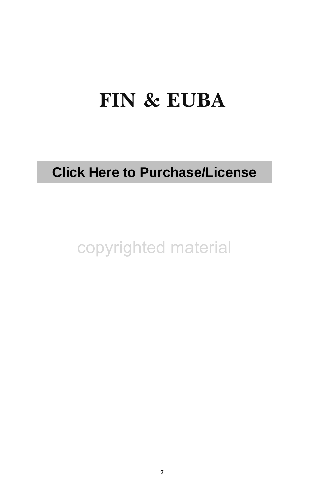# **FIN & EUBA**

# **Click Here to Purchase/License**

copyrighted material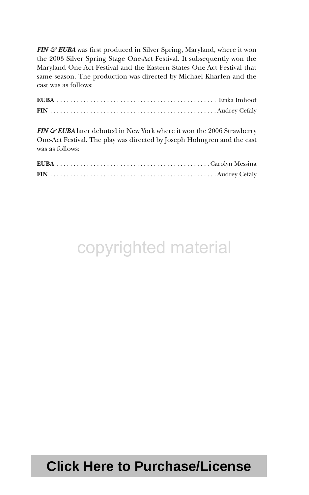*FIN & EUBA* was first produced in Silver Spring, Maryland, where it won the 2003 Silver Spring Stage One-Act Festival. It subsequently won the Maryland One-Act Festival and the Eastern States One-Act Festival that same season. The production was directed by Michael Kharfen and the cast was as follows:

*FIN & EUBA* later debuted in New York where it won the 2006 Strawberry One-Act Festival. The play was directed by Joseph Holmgren and the cast was as follows:

# copyrighted material

# **Click Here to Purchase/License**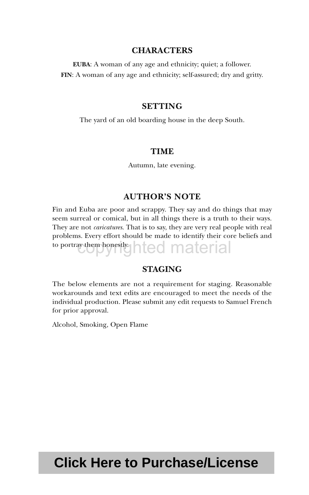### **CHARACTERS**

**EUBA**: A woman of any age and ethnicity; quiet; a follower. **FIN**: A woman of any age and ethnicity; self-assured; dry and gritty.

#### **SETTING**

The yard of an old boarding house in the deep South.

### **TIME**

Autumn, late evening.

### **AUTHOR'S NOTE**

Fin and Euba are poor and scrappy. They say and do things that may seem surreal or comical, but in all things there is a truth to their ways. They are not *caricatures*. That is to say, they are very real people with real problems. Every effort should be made to identify their core beliefs and to portray them honestly hted material

### **STAGING**

The below elements are not a requirement for staging. Reasonable workarounds and text edits are encouraged to meet the needs of the individual production. Please submit any edit requests to Samuel French for prior approval.

Alcohol, Smoking, Open Flame

# **Click Here to Purchase/License**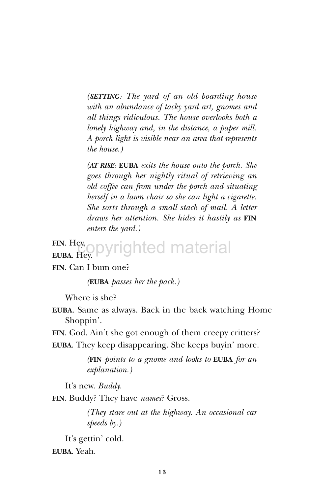*(SETTING: The yard of an old boarding house with an abundance of tacky yard art, gnomes and all things ridiculous. The house overlooks both a lonely highway and, in the distance, a paper mill. A porch light is visible near an area that represents the house.)*

*(AT RISE:* **EUBA** *exits the house onto the porch. She goes through her nightly ritual of retrieving an old coffee can from under the porch and situating herself in a lawn chair so she can light a cigarette. She sorts through a small stack of mail. A letter draws her attention. She hides it hastily as* **FIN** *enters the yard.)*

#### **FIN**. Hey. **EUBA**. Hey. ppyrighted material

**FIN**. Can I bum one?

*(***EUBA** *passes her the pack.)*

Where is she?

**EUBA**. Same as always. Back in the back watching Home Shoppin'.

**FIN**. God. Ain't she got enough of them creepy critters?

**EUBA**. They keep disappearing. She keeps buyin' more.

*(***FIN** *points to a gnome and looks to* **EUBA** *for an explanation.)*

It's new. *Buddy*.

**FIN**. Buddy? They have *names*? Gross.

*(They stare out at the highway. An occasional car speeds by.)*

It's gettin' cold. **EUBA**. Yeah.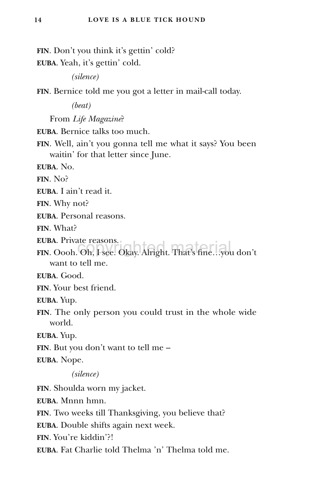**FIN**. Don't you think it's gettin' cold? **EUBA**. Yeah, it's gettin' cold. *(silence)* **FIN**. Bernice told me you got a letter in mail-call today. *(beat)* From *Life Magazine*? **EUBA**. Bernice talks too much. **FIN**. Well, ain't you gonna tell me what it says? You been waitin' for that letter since June. **EUBA**. No. **FIN**. No? **EUBA**. I ain't read it. **FIN**. Why not? **EUBA**. Personal reasons. **FIN**. What? **EUBA**. Private reasons. **FIN**. Oooh. Oh, I see. Okay. Alright. That's fine…you don't want to tell me. **EUBA**. Good. **FIN**. Your best friend. **EUBA**. Yup. **FIN**. The only person you could trust in the whole wide world. **EUBA**. Yup. **FIN**. But you don't want to tell me – **EUBA**. Nope. *(silence)* **FIN**. Shoulda worn my jacket. **EUBA**. Mnnn hmn. **FIN**. Two weeks till Thanksgiving, you believe that? **EUBA**. Double shifts again next week. **FIN**. You're kiddin'?!

**EUBA**. Fat Charlie told Thelma 'n' Thelma told me.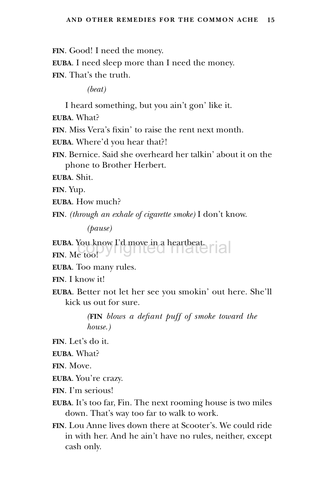**FIN**. Good! I need the money.

**EUBA**. I need sleep more than I need the money. **FIN**. That's the truth.

*(beat)*

I heard something, but you ain't gon' like it.

**EUBA**. What?

**FIN**. Miss Vera's fixin' to raise the rent next month.

**EUBA**. Where'd you hear that?!

**FIN**. Bernice. Said she overheard her talkin' about it on the phone to Brother Herbert.

**EUBA**. Shit.

**FIN**. Yup.

**EUBA**. How much?

**FIN**. *(through an exhale of cigarette smoke)* I don't know.

*(pause)*

**EUBA**. You know I'd move in a heartbeat.<br>FIN. Me too! **FIN**. Me too!

**EUBA**. Too many rules.

**FIN**. I know it!

**EUBA**. Better not let her see you smokin' out here. She'll kick us out for sure.

> *(***FIN** *blows a defiant puff of smoke toward the house.)*

**FIN**. Let's do it.

**EUBA**. What?

**FIN**. Move.

**EUBA**. You're crazy.

**FIN**. I'm serious!

- **EUBA**. It's too far, Fin. The next rooming house is two miles down. That's way too far to walk to work.
- **FIN**. Lou Anne lives down there at Scooter's. We could ride in with her. And he ain't have no rules, neither, except cash only.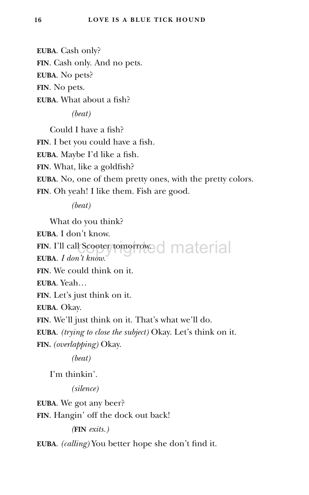**EUBA**. Cash only? **FIN**. Cash only. And no pets. **EUBA**. No pets? **FIN**. No pets. **EUBA**. What about a fish?

*(beat)*

Could I have a fish? **FIN**. I bet you could have a fish. **EUBA**. Maybe I'd like a fish. **FIN**. What, like a goldfish? **EUBA**. No, one of them pretty ones, with the pretty colors. **FIN**. Oh yeah! I like them. Fish are good.

*(beat)*

What do you think?

**EUBA**. I don't know.

FIN. I'll call Scooter tomorrowed material

**EUBA***. I don't know.*

**FIN**. We could think on it.

**EUBA**. Yeah…

**FIN**. Let's just think on it.

**EUBA**. Okay.

**FIN**. We'll just think on it. That's what we'll do.

**EUBA**. *(trying to close the subject)* Okay. Let's think on it. **FIN.** *(overlapping)* Okay.

*(beat)*

I'm thinkin'.

*(silence)*

**EUBA**. We got any beer?

**FIN**. Hangin' off the dock out back!

*(***FIN** *exits.)*

**EUBA**. *(calling)* You better hope she don't find it.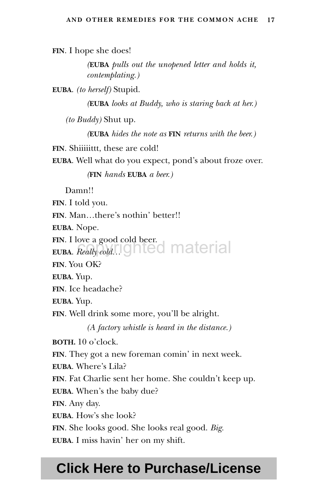**FIN**. I hope she does!

*(***EUBA** *pulls out the unopened letter and holds it, contemplating.)*

**EUBA**. *(to herself)* Stupid.

*(***EUBA** *looks at Buddy, who is staring back at her.)*

*(to Buddy)* Shut up.

*(***EUBA** *hides the note as* **FIN** *returns with the beer.)*

**FIN.** Shiiiittt, these are cold!

**EUBA**. Well what do you expect, pond's about froze over.

*(***FIN** *hands* **EUBA** *a beer.)*

Damn!!

**FIN**. I told you.

**FIN**. Man…there's nothin' better!!

**EUBA**. Nope.

**FIN**. I love a good cold beer. **EUBA**. *Really cold*… ghted material

**FIN**. You OK?

**EUBA**. Yup.

**FIN**. Ice headache?

**EUBA**. Yup.

**FIN**. Well drink some more, you'll be alright.

*(A factory whistle is heard in the distance.)*

**BOTH.** 10 o'clock.

**FIN**. They got a new foreman comin' in next week.

**EUBA**. Where's Lila?

**FIN**. Fat Charlie sent her home. She couldn't keep up.

**EUBA**. When's the baby due?

**FIN**. Any day.

**EUBA**. How's she look?

**FIN**. She looks good. She looks real good. *Big.*

**EUBA**. I miss havin' her on my shift.

## **Click Here to Purchase/License**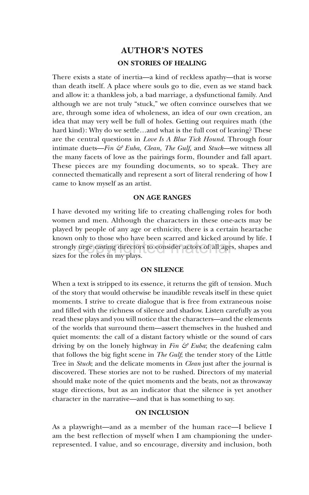## **AUTHOR'S NOTES ON STORIES OF HEALING**

There exists a state of inertia—a kind of reckless apathy—that is worse than death itself. A place where souls go to die, even as we stand back and allow it: a thankless job, a bad marriage, a dysfunctional family. And although we are not truly "stuck," we often convince ourselves that we are, through some idea of wholeness, an idea of our own creation, an idea that may very well be full of holes. Getting out requires math (the hard kind): Why do we settle…and what is the full cost of leaving? These are the central questions in *Love Is A Blue Tick Hound*. Through four intimate duets—*Fin & Euba, Clean, The Gulf,* and *Stuck*—we witness all the many facets of love as the pairings form, flounder and fall apart. These pieces are my founding documents, so to speak. They are connected thematically and represent a sort of literal rendering of how I came to know myself as an artist.

#### **ON AGE RANGES**

I have devoted my writing life to creating challenging roles for both women and men. Although the characters in these one-acts may be played by people of any age or ethnicity, there is a certain heartache known only to those who have been scarred and kicked around by life. I strongly urge casting directors to consider actors of all ages, shapes and sizes for the roles in my plays sizes for the roles in my plays.

#### **ON SILENCE**

When a text is stripped to its essence, it returns the gift of tension. Much of the story that would otherwise be inaudible reveals itself in these quiet moments. I strive to create dialogue that is free from extraneous noise and filled with the richness of silence and shadow. Listen carefully as you read these plays and you will notice that the characters—and the elements of the worlds that surround them—assert themselves in the hushed and quiet moments: the call of a distant factory whistle or the sound of cars driving by on the lonely highway in *Fin & Euba*; the deafening calm that follows the big fight scene in *The Gulf*; the tender story of the Little Tree in *Stuck*; and the delicate moments in *Clean* just after the journal is discovered. These stories are not to be rushed. Directors of my material should make note of the quiet moments and the beats, not as throwaway stage directions, but as an indicator that the silence is yet another character in the narrative—and that is has something to say.

#### **ON INCLUSION**

As a playwright—and as a member of the human race—I believe I am the best reflection of myself when I am championing the underrepresented. I value, and so encourage, diversity and inclusion, both